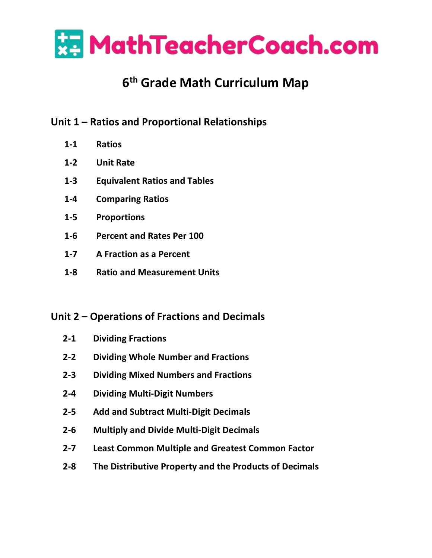

# **6 th Grade Math Curriculum Map**

# **Unit 1 – Ratios and Proportional Relationships**

- **1-1 Ratios**
- **1-2 Unit Rate**
- **1-3 Equivalent Ratios and Tables**
- **1-4 Comparing Ratios**
- **1-5 Proportions**
- **1-6 Percent and Rates Per 100**
- **1-7 A Fraction as a Percent**
- **1-8 Ratio and Measurement Units**

# **Unit 2 – Operations of Fractions and Decimals**

- **2-1 Dividing Fractions**
- **2-2 Dividing Whole Number and Fractions**
- **2-3 Dividing Mixed Numbers and Fractions**
- **2-4 Dividing Multi-Digit Numbers**
- **2-5 Add and Subtract Multi-Digit Decimals**
- **2-6 Multiply and Divide Multi-Digit Decimals**
- **2-7 Least Common Multiple and Greatest Common Factor**
- **2-8 The Distributive Property and the Products of Decimals**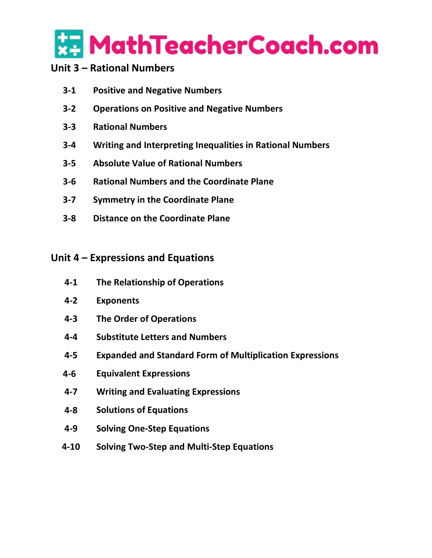

## **Unit 3 – Rational Numbers**

- **3-1 Positive and Negative Numbers**
- **3-2 Operations on Positive and Negative Numbers**
- **3-3 Rational Numbers**
- **3-4 Writing and Interpreting Inequalities in Rational Numbers**
- **3-5 Absolute Value of Rational Numbers**
- **3-6 Rational Numbers and the Coordinate Plane**
- **3-7 Symmetry in the Coordinate Plane**
- **3-8 Distance on the Coordinate Plane**

#### **Unit 4 – Expressions and Equations**

- **4-1 The Relationship of Operations**
- **4-2 Exponents**
- **4-3 The Order of Operations**
- **4-4 Substitute Letters and Numbers**
- **4-5 Expanded and Standard Form of Multiplication Expressions**
- **4-6 Equivalent Expressions**
- **4-7 Writing and Evaluating Expressions**
- **4-8 Solutions of Equations**
- **4-9 Solving One-Step Equations**
- **4-10 Solving Two-Step and Multi-Step Equations**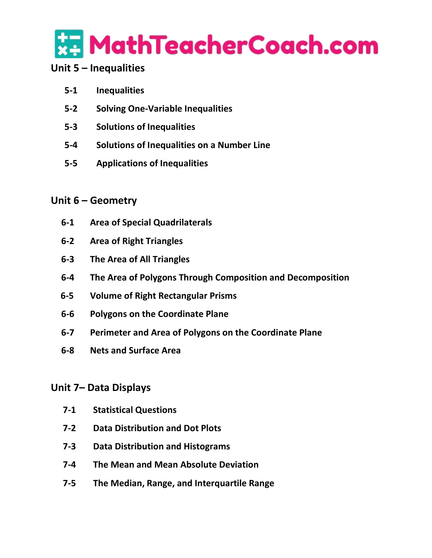

## **Unit 5 – Inequalities**

- **5-1 Inequalities**
- **5-2 Solving One-Variable Inequalities**
- **5-3 Solutions of Inequalities**
- **5-4 Solutions of Inequalities on a Number Line**
- **5-5 Applications of Inequalities**

## **Unit 6 – Geometry**

- **6-1 Area of Special Quadrilaterals**
- **6-2 Area of Right Triangles**
- **6-3 The Area of All Triangles**
- **6-4 The Area of Polygons Through Composition and Decomposition**
- **6-5 Volume of Right Rectangular Prisms**
- **6-6 Polygons on the Coordinate Plane**
- **6-7 Perimeter and Area of Polygons on the Coordinate Plane**
- **6-8 Nets and Surface Area**

#### **Unit 7– Data Displays**

- **7-1 Statistical Questions**
- **7-2 Data Distribution and Dot Plots**
- **7-3 Data Distribution and Histograms**
- **7-4 The Mean and Mean Absolute Deviation**
- **7-5 The Median, Range, and Interquartile Range**